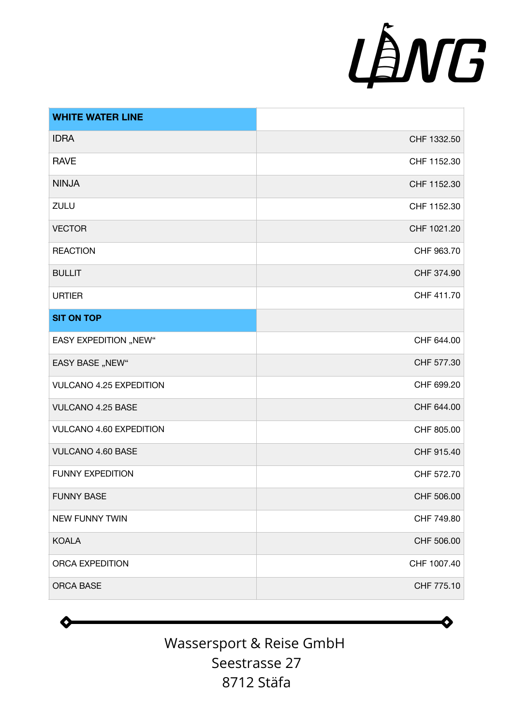## Wassersport & Reise GmbH Seestrasse 27 8712 Stäfa

| <b>WHITE WATER LINE</b>        |             |
|--------------------------------|-------------|
| <b>IDRA</b>                    | CHF 1332.50 |
| <b>RAVE</b>                    | CHF 1152.30 |
| <b>NINJA</b>                   | CHF 1152.30 |
| ZULU                           | CHF 1152.30 |
| <b>VECTOR</b>                  | CHF 1021.20 |
| <b>REACTION</b>                | CHF 963.70  |
| <b>BULLIT</b>                  | CHF 374.90  |
| <b>URTIER</b>                  | CHF 411.70  |
| <b>SIT ON TOP</b>              |             |
| <b>EASY EXPEDITION "NEW"</b>   | CHF 644.00  |
| <b>EASY BASE "NEW"</b>         | CHF 577.30  |
| <b>VULCANO 4.25 EXPEDITION</b> | CHF 699.20  |
| <b>VULCANO 4.25 BASE</b>       | CHF 644.00  |
| <b>VULCANO 4.60 EXPEDITION</b> | CHF 805.00  |
| <b>VULCANO 4.60 BASE</b>       | CHF 915.40  |
| <b>FUNNY EXPEDITION</b>        | CHF 572.70  |
| <b>FUNNY BASE</b>              | CHF 506.00  |
| NEW FUNNY TWIN                 | CHF 749.80  |
| <b>KOALA</b>                   | CHF 506.00  |
| <b>ORCA EXPEDITION</b>         | CHF 1007.40 |
| <b>ORCA BASE</b>               | CHF 775.10  |

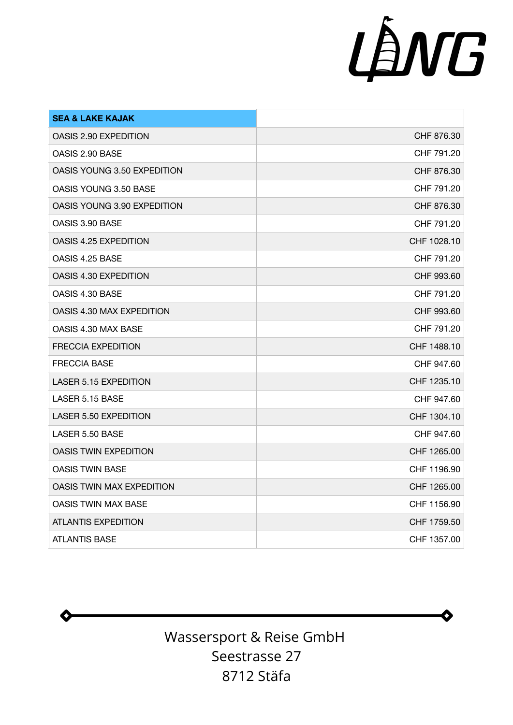

| <b>SEA &amp; LAKE KAJAK</b>  |             |
|------------------------------|-------------|
| OASIS 2.90 EXPEDITION        | CHF 876.30  |
| OASIS 2.90 BASE              | CHF 791.20  |
| OASIS YOUNG 3.50 EXPEDITION  | CHF 876.30  |
| OASIS YOUNG 3.50 BASE        | CHF 791.20  |
| OASIS YOUNG 3.90 EXPEDITION  | CHF 876.30  |
| OASIS 3.90 BASE              | CHF 791.20  |
| <b>OASIS 4.25 EXPEDITION</b> | CHF 1028.10 |
| OASIS 4.25 BASE              | CHF 791.20  |
| <b>OASIS 4.30 EXPEDITION</b> | CHF 993.60  |
| OASIS 4.30 BASE              | CHF 791.20  |
| OASIS 4.30 MAX EXPEDITION    | CHF 993.60  |
| OASIS 4.30 MAX BASE          | CHF 791.20  |
| <b>FRECCIA EXPEDITION</b>    | CHF 1488.10 |
| <b>FRECCIA BASE</b>          | CHF 947.60  |
| LASER 5.15 EXPEDITION        | CHF 1235.10 |
| LASER 5.15 BASE              | CHF 947.60  |
| <b>LASER 5.50 EXPEDITION</b> | CHF 1304.10 |
| LASER 5.50 BASE              | CHF 947.60  |
| OASIS TWIN EXPEDITION        | CHF 1265.00 |
| <b>OASIS TWIN BASE</b>       | CHF 1196.90 |
| OASIS TWIN MAX EXPEDITION    | CHF 1265.00 |
| <b>OASIS TWIN MAX BASE</b>   | CHF 1156.90 |
| ATLANTIS EXPEDITION          | CHF 1759.50 |
| ATLANTIS BASE                | CHF 1357.00 |

Wassersport & Reise GmbH Seestrasse 27 8712 Stäfa